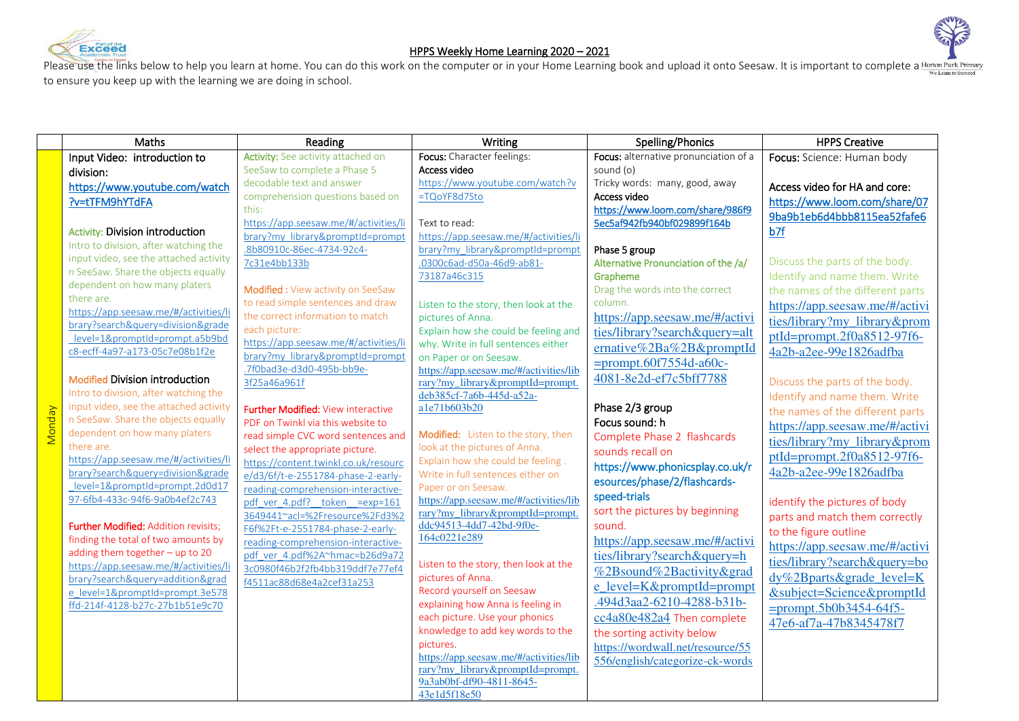





Please use the links below to help you learn at home. You can do this work on the computer or in your Home Learning book and upload it onto Seesaw. It is important to complete a Horton Park Primary to ensure you keep up with the learning we are doing in school.

|               | Maths                                                               | Reading                                                                 | Writing                                                                     | Spelling/Phonics                      | <b>HPPS Creative</b>             |
|---------------|---------------------------------------------------------------------|-------------------------------------------------------------------------|-----------------------------------------------------------------------------|---------------------------------------|----------------------------------|
|               | Input Video: introduction to                                        | Activity: See activity attached on                                      | Focus: Character feelings:                                                  | Focus: alternative pronunciation of a | Focus: Science: Human body       |
|               | division:                                                           | SeeSaw to complete a Phase 5                                            | Access video                                                                | sound (o)                             |                                  |
|               | https://www.youtube.com/watch                                       | decodable text and answer                                               | https://www.youtube.com/watch?v                                             | Tricky words: many, good, away        | Access video for HA and core:    |
|               | ?v=tTFM9hYTdFA                                                      | comprehension questions based on                                        | =TQoYF8d7Sto                                                                | Access video                          | https://www.loom.com/share/07    |
|               |                                                                     | this:                                                                   |                                                                             | https://www.loom.com/share/986f9      | 9ba9b1eb6d4bbb8115ea52fafe6      |
|               | <b>Activity: Division introduction</b>                              | https://app.seesaw.me/#/activities/li                                   | Text to read:                                                               | 5ec5af942fb940bf029899f164b           | b7f                              |
|               | Intro to division, after watching the                               | brary?my_library&promptId=prompt                                        | https://app.seesaw.me/#/activities/li                                       |                                       |                                  |
|               | input video, see the attached activity                              | .8b80910c-86ec-4734-92c4-                                               | brary?my library&promptId=prompt                                            | Phase 5 group                         |                                  |
|               | n SeeSaw. Share the objects equally                                 | 7c31e4bb133b                                                            | .0300c6ad-d50a-46d9-ab81-                                                   | Alternative Pronunciation of the /a/  | Discuss the parts of the body.   |
|               | dependent on how many platers                                       |                                                                         | 73187a46c315                                                                | Grapheme                              | Identify and name them. Write    |
|               | there are.                                                          | Modified : View activity on SeeSaw<br>to read simple sentences and draw |                                                                             | Drag the words into the correct       | the names of the different parts |
|               | https://app.seesaw.me/#/activities/li                               | the correct information to match                                        | Listen to the story, then look at the                                       | column.                               | https://app.seesaw.me/#/activi   |
|               | brary?search&query=division&grade                                   | each picture:                                                           | pictures of Anna.                                                           | https://app.seesaw.me/#/activi        | ties/library?my library&prom     |
|               | level=1&promptId=prompt.a5b9bd                                      | https://app.seesaw.me/#/activities/li                                   | Explain how she could be feeling and<br>why. Write in full sentences either | ties/library?search&query=alt         | ptId=prompt.2f0a8512-97f6-       |
|               | c8-ecff-4a97-a173-05c7e08b1f2e                                      | brary?my library&promptId=prompt                                        | on Paper or on Seesaw.                                                      | ernative%2Ba%2B&promptId              | 4a2b-a2ee-99e1826adfba           |
|               |                                                                     | .7f0bad3e-d3d0-495b-bb9e-                                               | https://app.seesaw.me/#/activities/lib                                      | $=$ prompt.60f7554d-a60c-             |                                  |
|               | <b>Modified Division introduction</b>                               | 3f25a46a961f                                                            | rary?my_library&promptId=prompt.                                            | 4081-8e2d-ef7c5bff7788                | Discuss the parts of the body.   |
|               | Intro to division, after watching the                               |                                                                         | deb385cf-7a6b-445d-a52a-                                                    |                                       | Identify and name them. Write    |
|               | input video, see the attached activity                              | Further Modified: View interactive                                      | a1e71b603b20                                                                | Phase 2/3 group                       | the names of the different parts |
| <b>Monday</b> | n SeeSaw. Share the objects equally                                 | PDF on Twinkl via this website to                                       |                                                                             | Focus sound: h                        | https://app.seesaw.me/#/activi   |
|               | dependent on how many platers                                       | read simple CVC word sentences and                                      | Modified: Listen to the story, then                                         | Complete Phase 2 flashcards           | ties/library?my library&prom     |
|               | there are.                                                          | select the appropriate picture.                                         | look at the pictures of Anna.                                               | sounds recall on                      | ptId=prompt.2f0a8512-97f6-       |
|               | https://app.seesaw.me/#/activities/li                               | https://content.twinkl.co.uk/resourc                                    | Explain how she could be feeling.                                           | https://www.phonicsplay.co.uk/r       |                                  |
|               | brary?search&query=division&grade<br>level=1&promptId=prompt.2d0d17 | e/d3/6f/t-e-2551784-phase-2-early-                                      | Write in full sentences either on                                           | esources/phase/2/flashcards-          | 4a2b-a2ee-99e1826adfba           |
|               | 97-6fb4-433c-94f6-9a0b4ef2c743                                      | reading-comprehension-interactive-                                      | Paper or on Seesaw.                                                         | speed-trials                          |                                  |
|               |                                                                     | pdf ver 4.pdf? token =exp=161                                           | https://app.seesaw.me/#/activities/lib<br>rary?my_library&promptId=prompt.  | sort the pictures by beginning        | identify the pictures of body    |
|               | Further Modified: Addition revisits;                                | 3649441~acl=%2Fresource%2Fd3%2<br>F6f%2Ft-e-2551784-phase-2-early-      | ddc94513-4dd7-42bd-9f0e-                                                    | sound.                                | parts and match them correctly   |
|               | finding the total of two amounts by                                 | reading-comprehension-interactive-                                      | 164c0221e289                                                                | https://app.seesaw.me/#/activi        | to the figure outline            |
|               | adding them together - up to 20                                     | pdf ver 4.pdf%2A~hmac=b26d9a72                                          |                                                                             | ties/library?search&query=h           | https://app.seesaw.me/#/activi   |
|               | https://app.seesaw.me/#/activities/li                               | 3c0980f46b2f2fb4bb319ddf7e77ef4                                         | Listen to the story, then look at the                                       | %2Bsound%2Bactivity&grad              | ties/library?search&query=bo     |
|               | brary?search&query=addition&grad                                    | f4511ac88d68e4a2cef31a253                                               | pictures of Anna.                                                           |                                       | dy%2Bparts&grade level=K         |
|               | e level=1&promptId=prompt.3e578                                     |                                                                         | Record yourself on Seesaw                                                   | e level=K&promptId=prompt             | &subject=Science&promptId        |
|               | ffd-214f-4128-b27c-27b1b51e9c70                                     |                                                                         | explaining how Anna is feeling in                                           | .494d3aa2-6210-4288-b31b-             | $=$ prompt.5b0b3454-64f5-        |
|               |                                                                     |                                                                         | each picture. Use your phonics                                              | cc4a80e482a4 Then complete            | 47e6-af7a-47b8345478f7           |
|               |                                                                     |                                                                         | knowledge to add key words to the                                           | the sorting activity below            |                                  |
|               |                                                                     |                                                                         | pictures.<br>https://app.seesaw.me/#/activities/lib                         | https://wordwall.net/resource/55      |                                  |
|               |                                                                     |                                                                         | rary?my_library&promptId=prompt.                                            | 556/english/categorize-ck-words       |                                  |
|               |                                                                     |                                                                         | 9a3ab0bf-df90-4811-8645-                                                    |                                       |                                  |
|               |                                                                     |                                                                         | 43e1d5f18e50                                                                |                                       |                                  |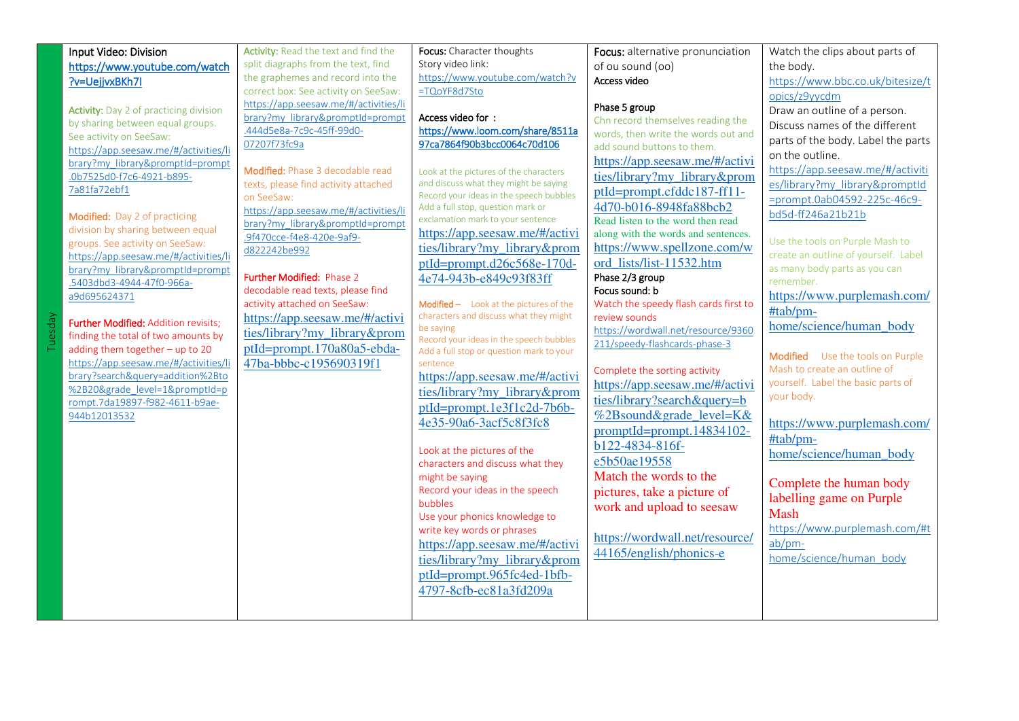| Input Video: Division<br>https://www.youtube.com/watch<br>?v=UejjvxBKh7I<br><b>Activity:</b> Day 2 of practicing division<br>by sharing between equal groups.<br>See activity on SeeSaw:<br>https://app.seesaw.me/#/activities/li<br>brary?my library&promptId=prompt<br>.0b7525d0-f7c6-4921-b895-                                                                                                                                                                                                                                        | Activity: Read the text and find the<br>split diagraphs from the text, find<br>the graphemes and record into the<br>correct box: See activity on SeeSaw:<br>https://app.seesaw.me/#/activities/li<br>brary?my library&promptId=prompt<br>.444d5e8a-7c9c-45ff-99d0-<br>07207f73fc9a<br>Modified: Phase 3 decodable read                                                  | Focus: Character thoughts<br>Story video link:<br>https://www.youtube.com/watch?v<br>=TQoYF8d7Sto<br>Access video for:<br>https://www.loom.com/share/8511a<br>97ca7864f90b3bcc0064c70d106<br>Look at the pictures of the characters                                                                                                                                                                                                                                                                                                                                                                                                                                                                                                                                                                                                                                                                    | Focus: alternative pronunciation<br>of ou sound (oo)<br>Access video<br>Phase 5 group<br>Chn record themselves reading the<br>words, then write the words out and<br>add sound buttons to them.<br>https://app.seesaw.me/#/activi<br>ties/library?my library&prom                                                                                                                                                                                                                                                                                                                                                                                                                                                   | Watch the clips about parts of<br>the body.<br>https://www.bbc.co.uk/bitesize/t<br>opics/z9yycdm<br>Draw an outline of a person.<br>Discuss names of the different<br>parts of the body. Label the parts<br>on the outline.<br>https://app.seesaw.me/#/activiti                                                                                                                                                                                                                                                                                                                       |
|-------------------------------------------------------------------------------------------------------------------------------------------------------------------------------------------------------------------------------------------------------------------------------------------------------------------------------------------------------------------------------------------------------------------------------------------------------------------------------------------------------------------------------------------|-------------------------------------------------------------------------------------------------------------------------------------------------------------------------------------------------------------------------------------------------------------------------------------------------------------------------------------------------------------------------|--------------------------------------------------------------------------------------------------------------------------------------------------------------------------------------------------------------------------------------------------------------------------------------------------------------------------------------------------------------------------------------------------------------------------------------------------------------------------------------------------------------------------------------------------------------------------------------------------------------------------------------------------------------------------------------------------------------------------------------------------------------------------------------------------------------------------------------------------------------------------------------------------------|---------------------------------------------------------------------------------------------------------------------------------------------------------------------------------------------------------------------------------------------------------------------------------------------------------------------------------------------------------------------------------------------------------------------------------------------------------------------------------------------------------------------------------------------------------------------------------------------------------------------------------------------------------------------------------------------------------------------|---------------------------------------------------------------------------------------------------------------------------------------------------------------------------------------------------------------------------------------------------------------------------------------------------------------------------------------------------------------------------------------------------------------------------------------------------------------------------------------------------------------------------------------------------------------------------------------|
| 7a81fa72ebf1<br>Modified: Day 2 of practicing<br>division by sharing between equal<br>groups. See activity on SeeSaw:<br>https://app.seesaw.me/#/activities/li<br>brary?my library&promptId=prompt<br>.5403dbd3-4944-47f0-966a-<br>a9d695624371<br><b>Further Modified: Addition revisits;</b><br>finding the total of two amounts by<br>adding them together - up to 20<br>https://app.seesaw.me/#/activities/li<br>brary?search&query=addition%2Bto<br>%2B20&grade level=1&promptId=p<br>rompt.7da19897-f982-4611-b9ae-<br>944b12013532 | on SeeSaw:<br>https://app.seesaw.me/#/activities/li<br>brary?my library&promptId=prompt<br>.9f470cce-f4e8-420e-9af9-<br>d822242be992<br><b>Further Modified: Phase 2</b><br>decodable read texts, please find<br>activity attached on SeeSaw:<br>https://app.seesaw.me/#/activi<br>ties/library?my_library&prom<br>ptId=prompt.170a80a5-ebda-<br>47ba-bbbc-c195690319f1 | Record your ideas in the speech bubbles<br>Add a full stop, question mark or<br>exclamation mark to your sentence<br>https://app.seesaw.me/#/activi<br>ties/library?my_library&prom<br>ptId=prompt.d26c568e-170d-<br>4e74-943b-e849c93f83ff<br>Modified - Look at the pictures of the<br>characters and discuss what they might<br>be saying<br>Record your ideas in the speech bubbles<br>Add a full stop or question mark to your<br>sentence<br>https://app.seesaw.me/#/activi<br>ties/library?my_library&prom<br>ptId=prompt.1e3f1c2d-7b6b-<br>4e35-90a6-3acf5c8f3fc8<br>Look at the pictures of the<br>characters and discuss what they<br>might be saying<br>Record your ideas in the speech<br>bubbles<br>Use your phonics knowledge to<br>write key words or phrases<br>https://app.seesaw.me/#/activi<br>ties/library?my library&prom<br>ptId=prompt.965fc4ed-1bfb-<br>4797-8cfb-ec81a3fd209a | ptId=prompt.cfddc187-ff11-<br>4d70-b016-8948fa88bcb2<br>Read listen to the word then read<br>along with the words and sentences.<br>https://www.spellzone.com/w<br>ord lists/list-11532.htm<br>Phase 2/3 group<br>Focus sound: b<br>Watch the speedy flash cards first to<br>review sounds<br>https://wordwall.net/resource/9360<br>211/speedy-flashcards-phase-3<br>Complete the sorting activity<br>https://app.seesaw.me/#/activi<br>ties/library?search&query=b<br>%2Bsound&grade level=K&<br>$promptId=prompt.14834102-$<br>b122-4834-816f-<br>e5b50ae19558<br>Match the words to the<br>pictures, take a picture of<br>work and upload to seesaw<br>https://wordwall.net/resource/<br>44165/english/phonics-e | =prompt.0ab04592-225c-46c9-<br>bd5d-ff246a21b21b<br>Use the tools on Purple Mash to<br>create an outline of yourself. Label<br>as many body parts as you can<br>remember.<br>https://www.purplemash.com/<br>#tab/pm-<br>home/science/human_body<br>Modified Use the tools on Purple<br>Mash to create an outline of<br>yourself. Label the basic parts of<br>your body.<br>https://www.purplemash.com/<br>#tab/pm-<br>home/science/human body<br>Complete the human body<br>labelling game on Purple<br>Mash<br>https://www.purplemash.com/#t<br>$ab/pm$ -<br>home/science/human body |

**Tuesday**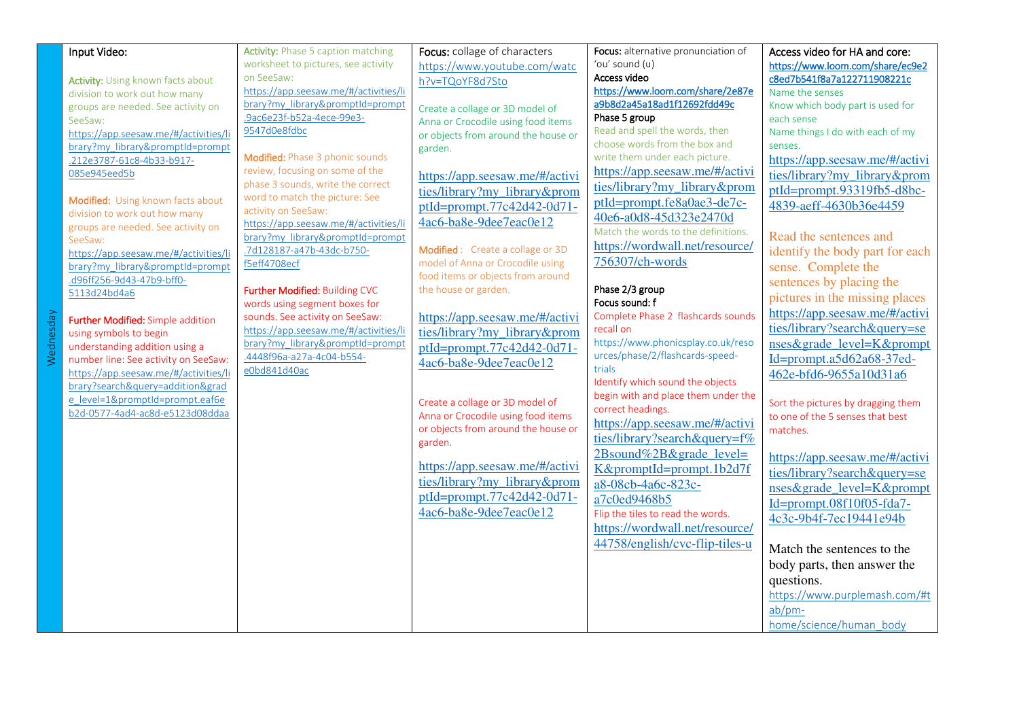| Input Video:                             | <b>Activity: Phase 5 caption matching</b> | Focus: collage of characters        | Focus: alternative pronunciation of | Access video for HA and core:      |
|------------------------------------------|-------------------------------------------|-------------------------------------|-------------------------------------|------------------------------------|
|                                          | worksheet to pictures, see activity       | https://www.youtube.com/watc        | 'ou' sound (u)                      | https://www.loom.com/share/ec9e2   |
| Activity: Using known facts about        | on SeeSaw:                                | h?v=TQoYF8d7Sto                     | Access video                        | c8ed7b541f8a7a122711908221c        |
| division to work out how many            | https://app.seesaw.me/#/activities/li     |                                     | https://www.loom.com/share/2e87e    | Name the senses                    |
| groups are needed. See activity on       | brary?my library&promptId=prompt          | Create a collage or 3D model of     | a9b8d2a45a18ad1f12692fdd49c         | Know which body part is used for   |
| SeeSaw:                                  | .9ac6e23f-b52a-4ece-99e3-                 | Anna or Crocodile using food items  | Phase 5 group                       | each sense                         |
| https://app.seesaw.me/#/activities/li    | 9547d0e8fdbc                              | or objects from around the house or | Read and spell the words, then      | Name things I do with each of my   |
| brary?my library&promptId=prompt         |                                           | garden.                             | choose words from the box and       | senses.                            |
| .212e3787-61c8-4b33-b917-                | Modified: Phase 3 phonic sounds           |                                     | write them under each picture.      | https://app.seesaw.me/#/activi     |
| 085e945eed5b                             | review, focusing on some of the           | https://app.seesaw.me/#/activi      | https://app.seesaw.me/#/activi      | ties/library?my library&prom       |
|                                          | phase 3 sounds, write the correct         | ties/library?my_library&prom        | ties/library?my library&prom        | $ptId=prompt.93319fb5-d8bc-$       |
| Modified: Using known facts about        | word to match the picture: See            |                                     | ptId=prompt.fe8a0ae3-de7c-          | 4839-aeff-4630b36e4459             |
| division to work out how many            | activity on SeeSaw:                       | ptId=prompt.77c42d42-0d71-          | 40e6-a0d8-45d323e2470d              |                                    |
| groups are needed. See activity on       | https://app.seesaw.me/#/activities/li     | 4ac6-ba8e-9dee7eac0e12              | Match the words to the definitions. |                                    |
| SeeSaw:                                  | brary?my library&promptId=prompt          |                                     | https://wordwall.net/resource/      | Read the sentences and             |
| https://app.seesaw.me/#/activities/li    | .7d128187-a47b-43dc-b750-                 | Modified : Create a collage or 3D   |                                     | identify the body part for each    |
| brary?my_library&promptId=prompt         | f5eff4708ecf                              | model of Anna or Crocodile using    | 756307/ch-words                     | sense. Complete the                |
| .d96ff256-9d43-47b9-bff0-                |                                           | food items or objects from around   |                                     | sentences by placing the           |
| 5113d24bd4a6                             | Further Modified: Building CVC            | the house or garden.                | Phase 2/3 group                     | pictures in the missing places     |
|                                          | words using segment boxes for             |                                     | Focus sound: f                      |                                    |
| <b>Further Modified:</b> Simple addition | sounds. See activity on SeeSaw:           | https://app.seesaw.me/#/activi      | Complete Phase 2 flashcards sounds  | https://app.seesaw.me/#/activi     |
| using symbols to begin                   | https://app.seesaw.me/#/activities/li     | ties/library?my_library&prom        | recall on                           | ties/library?search&query=se       |
| understanding addition using a           | brary?my library&promptId=prompt          | ptId=prompt.77c42d42-0d71-          | https://www.phonicsplay.co.uk/reso  | nses&grade level=K&prompt          |
| number line: See activity on SeeSaw:     | .4448f96a-a27a-4c04-b554-                 | 4ac6-ba8e-9dee7eac0e12              | urces/phase/2/flashcards-speed-     | Id=prompt.a5d62a68-37ed-           |
| https://app.seesaw.me/#/activities/li    | e0bd841d40ac                              |                                     | trials                              | 462e-bfd6-9655a10d31a6             |
| brary?search&query=addition&grad         |                                           |                                     | Identify which sound the objects    |                                    |
| e level=1&promptId=prompt.eaf6e          |                                           | Create a collage or 3D model of     | begin with and place them under the | Sort the pictures by dragging them |
| b2d-0577-4ad4-ac8d-e5123d08ddaa          |                                           | Anna or Crocodile using food items  | correct headings.                   | to one of the 5 senses that best   |
|                                          |                                           | or objects from around the house or | https://app.seesaw.me/#/activi      | matches.                           |
|                                          |                                           | garden.                             | ties/library?search&query=f%        |                                    |
|                                          |                                           |                                     | 2Bsound%2B&grade level=             | https://app.seesaw.me/#/activi     |
|                                          |                                           | https://app.seesaw.me/#/activi      | K&promptId=prompt.1b2d7f            | ties/library?search&query=se       |
|                                          |                                           | ties/library?my library&prom        | a8-08cb-4a6c-823c-                  |                                    |
|                                          |                                           | ptId=prompt.77c42d42-0d71-          | a7c0ed9468b5                        | nses&grade level=K&prompt          |
|                                          |                                           | 4ac6-ba8e-9dee7eac0e12              |                                     | $Id = prompt.08f10f05-fda7-$       |
|                                          |                                           |                                     | Flip the tiles to read the words.   | 4c3c-9b4f-7ec19441e94b             |
|                                          |                                           |                                     | https://wordwall.net/resource/      |                                    |
|                                          |                                           |                                     | 44758/english/cvc-flip-tiles-u      | Match the sentences to the         |
|                                          |                                           |                                     |                                     | body parts, then answer the        |
|                                          |                                           |                                     |                                     | questions.                         |
|                                          |                                           |                                     |                                     | https://www.purplemash.com/#t      |
|                                          |                                           |                                     |                                     | ab/pm-                             |
|                                          |                                           |                                     |                                     | home/science/human body            |
|                                          |                                           |                                     |                                     |                                    |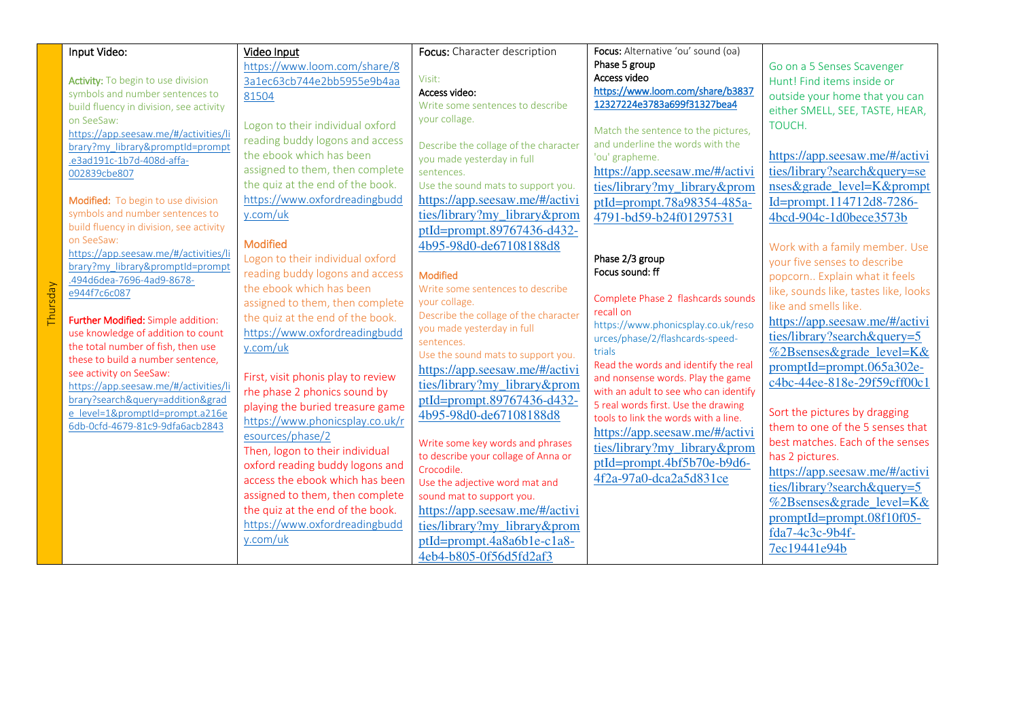|  | Input Video:                                                               | Video Input                        | Focus: Character description                 | Focus: Alternative 'ou' sound (oa)                              |                                       |
|--|----------------------------------------------------------------------------|------------------------------------|----------------------------------------------|-----------------------------------------------------------------|---------------------------------------|
|  |                                                                            | https://www.loom.com/share/8       |                                              | Phase 5 group                                                   | Go on a 5 Senses Scavenger            |
|  | Activity: To begin to use division                                         | 3a1ec63cb744e2bb5955e9b4aa         | Visit:                                       | Access video                                                    | Hunt! Find items inside or            |
|  | symbols and number sentences to                                            | 81504                              | Access video:                                | https://www.loom.com/share/b3837<br>12327224e3783a699f31327bea4 | outside your home that you can        |
|  | build fluency in division, see activity                                    |                                    | Write some sentences to describe             |                                                                 | either SMELL, SEE, TASTE, HEAR,       |
|  | on SeeSaw:                                                                 | Logon to their individual oxford   | your collage.                                |                                                                 | TOUCH.                                |
|  | https://app.seesaw.me/#/activities/li                                      | reading buddy logons and access    |                                              | Match the sentence to the pictures,                             |                                       |
|  | brary?my library&promptId=prompt                                           | the ebook which has been           | Describe the collage of the character        | and underline the words with the                                |                                       |
|  | .e3ad191c-1b7d-408d-affa-                                                  | assigned to them, then complete    | you made yesterday in full                   | 'ou' grapheme.                                                  | https://app.seesaw.me/#/activi        |
|  | 002839cbe807                                                               |                                    | sentences.                                   | https://app.seesaw.me/#/activi                                  | ties/library?search&query=se          |
|  |                                                                            | the quiz at the end of the book.   | Use the sound mats to support you.           | ties/library?my library&prom                                    | nses&grade level=K&prompt             |
|  | Modified: To begin to use division                                         | https://www.oxfordreadingbudd      | https://app.seesaw.me/#/activi               | ptId=prompt.78a98354-485a-                                      | Id=prompt.114712d8-7286-              |
|  | symbols and number sentences to<br>build fluency in division, see activity | y.com/uk                           | ties/library?my library&prom                 | 4791-bd59-b24f01297531                                          | 4bcd-904c-1d0bece3573b                |
|  | on SeeSaw:                                                                 |                                    | ptId=prompt.89767436-d432-                   |                                                                 |                                       |
|  | https://app.seesaw.me/#/activities/li                                      | Modified                           | 4b95-98d0-de67108188d8                       |                                                                 | Work with a family member. Use        |
|  | brary?my_library&promptId=prompt                                           | Logon to their individual oxford   |                                              | Phase 2/3 group                                                 | your five senses to describe          |
|  | .494d6dea-7696-4ad9-8678-                                                  | reading buddy logons and access    | <b>Modified</b>                              | Focus sound: ff                                                 | popcorn Explain what it feels         |
|  | e944f7c6c087                                                               | the ebook which has been           | Write some sentences to describe             | Complete Phase 2 flashcards sounds                              | like, sounds like, tastes like, looks |
|  |                                                                            | assigned to them, then complete    | your collage.                                | recall on                                                       | like and smells like.                 |
|  | Further Modified: Simple addition:                                         | the quiz at the end of the book.   | Describe the collage of the character        | https://www.phonicsplay.co.uk/reso                              | https://app.seesaw.me/#/activi        |
|  | use knowledge of addition to count                                         | https://www.oxfordreadingbudd      | you made yesterday in full<br>sentences.     | urces/phase/2/flashcards-speed-                                 | ties/library?search&query=5           |
|  | the total number of fish, then use                                         | y.com/uk                           | Use the sound mats to support you.           | trials                                                          | %2Bsenses&grade level=K&              |
|  | these to build a number sentence,                                          |                                    | https://app.seesaw.me/#/activi               | Read the words and identify the real                            | promptId=prompt.065a302e-             |
|  | see activity on SeeSaw:                                                    | First, visit phonis play to review | ties/library?my library&prom                 | and nonsense words. Play the game                               | c4bc-44ee-818e-29f59cff00c1           |
|  | https://app.seesaw.me/#/activities/li<br>brary?search&query=addition&grad  | rhe phase 2 phonics sound by       | ptId=prompt.89767436-d432-                   | with an adult to see who can identify                           |                                       |
|  | e level=1&promptId=prompt.a216e                                            | playing the buried treasure game   |                                              | 5 real words first. Use the drawing                             | Sort the pictures by dragging         |
|  | 6db-0cfd-4679-81c9-9dfa6acb2843                                            | https://www.phonicsplay.co.uk/r    | 4b95-98d0-de67108188d8                       | tools to link the words with a line.                            | them to one of the 5 senses that      |
|  |                                                                            | esources/phase/2                   | Write some key words and phrases             | https://app.seesaw.me/#/activi                                  | best matches. Each of the senses      |
|  |                                                                            | Then, logon to their individual    | to describe your collage of Anna or          | ties/library?my_library&prom                                    | has 2 pictures.                       |
|  |                                                                            | oxford reading buddy logons and    | Crocodile.<br>Use the adjective word mat and | ptId=prompt.4bf5b70e-b9d6-<br>4f2a-97a0-dca2a5d831ce            | https://app.seesaw.me/#/activi        |
|  |                                                                            | access the ebook which has been    |                                              |                                                                 | ties/library?search&query=5           |
|  |                                                                            | assigned to them, then complete    | sound mat to support you.                    |                                                                 |                                       |
|  |                                                                            | the quiz at the end of the book.   | https://app.seesaw.me/#/activi               |                                                                 | %2Bsenses&grade_level=K&              |
|  |                                                                            | https://www.oxfordreadingbudd      | ties/library?my_library&prom                 |                                                                 | promptId=prompt.08f10f05-             |
|  |                                                                            | y.com/uk                           | ptId=prompt.4a8a6b1e-c1a8-                   |                                                                 | fda7-4c3c-9b4f-                       |
|  |                                                                            |                                    | 4eb4-b805-0f56d5fd2af3                       |                                                                 | 7ec19441e94b                          |